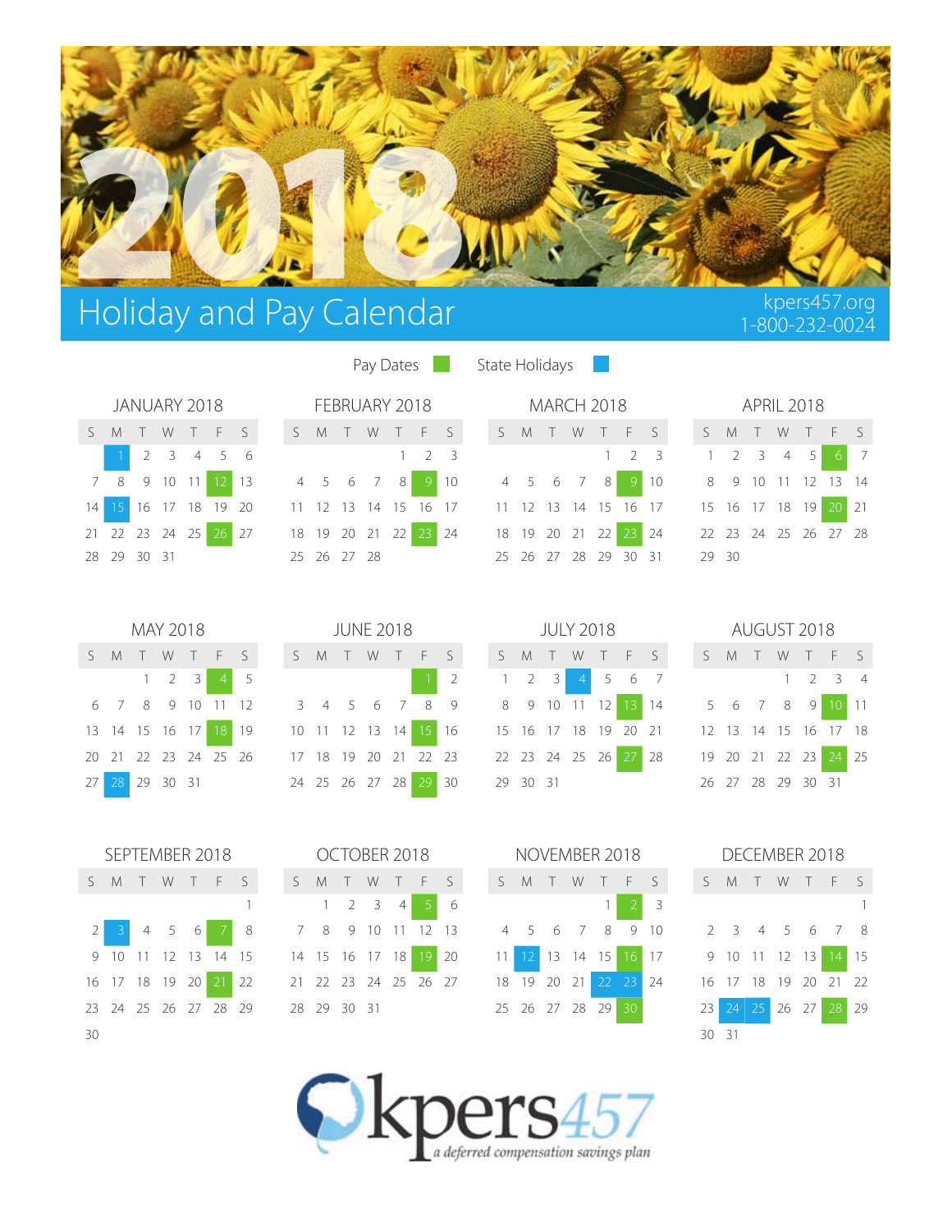

# Holiday and Pay Calendar Karel and Pay Calendar Karel and Pay Calendar Karel and Bullet and Register and Register

| JANUARY 2018 |  |             |  |  |                      |  |  |  |  |
|--------------|--|-------------|--|--|----------------------|--|--|--|--|
|              |  |             |  |  | S M T W T F S        |  |  |  |  |
|              |  |             |  |  | 1 2 3 4 5 6          |  |  |  |  |
| 7            |  |             |  |  | 8 9 10 11 12 13      |  |  |  |  |
|              |  |             |  |  | 14 15 16 17 18 19 20 |  |  |  |  |
|              |  |             |  |  | 21 22 23 24 25 26 27 |  |  |  |  |
|              |  | 28 29 30 31 |  |  |                      |  |  |  |  |

Pay Dates **National State Holidays** 

|             |  | JANUARY 2018         | FEBRUARY 2018 MARCH 2018                                                            |  |                     |  |  |  |  |  |                     |  | <b>APRIL 2018</b> |  |                                                     |  |
|-------------|--|----------------------|-------------------------------------------------------------------------------------|--|---------------------|--|--|--|--|--|---------------------|--|-------------------|--|-----------------------------------------------------|--|
|             |  |                      | SMTWTFS SMTWTFS SMTWTFS SMTWTFS                                                     |  |                     |  |  |  |  |  |                     |  |                   |  |                                                     |  |
|             |  | 1 2 3 4 5 6          |                                                                                     |  | $1 \quad 2 \quad 3$ |  |  |  |  |  | $1 \quad 2 \quad 3$ |  |                   |  | $1 \quad 2 \quad 3 \quad 4 \quad 5 \quad 6 \quad 7$ |  |
|             |  |                      | 7 8 9 10 11 12 13 4 5 6 7 8 9 10 4 5 6 7 8 9 10 8 9 10 11 12 13 14                  |  |                     |  |  |  |  |  |                     |  |                   |  |                                                     |  |
|             |  |                      | 14 15 16 17 18 19 20 11 12 13 14 15 16 17 11 12 13 14 15 16 17 15 16 17 18 19 20 21 |  |                     |  |  |  |  |  |                     |  |                   |  |                                                     |  |
|             |  | 21 22 23 24 25 26 27 | 18 19 20 21 22 23 24 18 19 20 21 22 23 24 22 23 24 25 26 27 28                      |  |                     |  |  |  |  |  |                     |  |                   |  |                                                     |  |
| 28 29 30 31 |  |                      | 25 26 27 28 29 26 27 28 29 30 31 29 30                                              |  |                     |  |  |  |  |  |                     |  |                   |  |                                                     |  |

|  | MAY 2018            |  |                  |                                                                                  |                                               | <b>JUNE 2018</b> |  |            |  |          | JULY 2018           |          |       |                                        |  |  | AUGUST 2018         |  |
|--|---------------------|--|------------------|----------------------------------------------------------------------------------|-----------------------------------------------|------------------|--|------------|--|----------|---------------------|----------|-------|----------------------------------------|--|--|---------------------|--|
|  |                     |  |                  | SMTWTFS SMTWTFS                                                                  |                                               |                  |  |            |  |          |                     |          |       | SMTWTFS SMTWTF                         |  |  |                     |  |
|  | $1 \quad 2 \quad 3$ |  | $4 \overline{5}$ |                                                                                  |                                               |                  |  |            |  |          | $1 \quad 2 \quad 3$ | $\sim$ 4 | 5 6 7 |                                        |  |  | $1 \quad 2 \quad 3$ |  |
|  |                     |  |                  | 6 7 8 9 10 11 12                                                                 | 3 4 5 6 7 8 9 8 9 10 11 12 13 14 5 6 7 8 9 10 |                  |  |            |  |          |                     |          |       |                                        |  |  |                     |  |
|  |                     |  |                  | 13 14 15 16 17 18 19 10 11 12 13 14 15 16 15 16 17 18 19 20 21 12 13 14 15 16 17 |                                               |                  |  |            |  |          |                     |          |       |                                        |  |  |                     |  |
|  |                     |  |                  | 20 21 22 23 24 25 26 17 18 19 20 21 22 23                                        |                                               |                  |  |            |  |          |                     |          |       | 22 23 24 25 26 27 28 19 20 21 22 23 24 |  |  |                     |  |
|  | 27 28 29 30 31      |  |                  | 24 25 26 27 28                                                                   |                                               |                  |  | $29 \,$ 30 |  | 29 30 31 |                     |          |       |                                        |  |  | 26 27 28 29 30 31   |  |

|       |           | OCTOBER 2018         |  |   |
|-------|-----------|----------------------|--|---|
| $S$ M |           | TWTFS                |  |   |
|       | 1         | 2 3 4 5              |  | 6 |
| 7     |           | 8 9 10 11 12 13      |  |   |
|       |           | 14 15 16 17 18 19 20 |  |   |
| 21    |           | - 22 23 24 25 26 27  |  |   |
| 28    | - 29 - 30 | - 31                 |  |   |

|  | MARCH 2018                 |             |  |
|--|----------------------------|-------------|--|
|  | S M T W T F S              |             |  |
|  |                            | $1 \t2 \t3$ |  |
|  | 4 5 6 7 8 9 10             |             |  |
|  | 11 12 13 14 15 16 17       |             |  |
|  | 18 19 20 21 22 23 24       |             |  |
|  | 25  26  27  28  29  30  31 |             |  |

|      |                             |  | APRIL 2018 |  |
|------|-----------------------------|--|------------|--|
|      | S M T W T F S               |  |            |  |
|      | $1 \t2 \t3 \t4 \t5 \t6 \t7$ |  |            |  |
|      | 8 9 10 11 12 13 14          |  |            |  |
|      | 15 16 17 18 19 20 21        |  |            |  |
|      | 22 23 24 25 26 27 28        |  |            |  |
| 2930 |                             |  |            |  |

| AUGUST 2018 |  |
|-------------|--|

|  |  | S M T W T F S        |  |
|--|--|----------------------|--|
|  |  | $1 \t2 \t3 \t4$      |  |
|  |  | 5 6 7 8 9 10 11      |  |
|  |  | 12 13 14 15 16 17 18 |  |
|  |  | 19 20 21 22 23 24 25 |  |
|  |  | 26 27 28 29 30 31    |  |

|   |    |             | OCTOBER 2018   |   |                      |    |                 |                |          |                 | NOVEMBER 2018  |      |     | DECEMBER 2018 |       |       |                      |    |
|---|----|-------------|----------------|---|----------------------|----|-----------------|----------------|----------|-----------------|----------------|------|-----|---------------|-------|-------|----------------------|----|
|   | S. | M T W       |                |   | TFS                  |    | $\varsigma$     | M T            | <b>W</b> | T               | F              | $-5$ | S   | - M           |       |       | T W T F S            |    |
|   |    |             | 2 <sup>3</sup> | 4 |                      | 6  |                 |                |          |                 |                | 3    |     |               |       |       |                      |    |
| 8 |    |             |                |   | 7 8 9 10 11 12 13    |    |                 |                |          |                 | 4 5 6 7 8 9 10 |      |     |               |       |       | 2 3 4 5 6 7 8        |    |
| 5 |    |             | 14 15 16 17 18 |   | 19                   | 20 | 11 <sup>1</sup> | 12 13 14 15    |          |                 | $16 \mid 17$   |      |     | 9 10 11 12 13 |       |       | $\overline{14}$      | 15 |
| 2 |    |             |                |   | 21 22 23 24 25 26 27 |    |                 | 18 19 20 21    |          | 22 <sub>1</sub> | $-23$          | 24   |     |               |       |       | 16 17 18 19 20 21 22 |    |
| 9 |    | 28 29 30 31 |                |   |                      |    |                 | 25 26 27 28 29 |          |                 | -30            |      | 23  | 241           | $-25$ | 26 27 | 28                   | 29 |
|   |    |             |                |   |                      |    |                 |                |          |                 |                |      | 30. | - 31          |       |       |                      |    |



|                      | iviay zut8                          |  |  |
|----------------------|-------------------------------------|--|--|
| S M T W T F S        |                                     |  |  |
|                      | $1 \quad 2 \quad 3 \quad 4 \quad 5$ |  |  |
| 6 7 8 9 10 11 12     |                                     |  |  |
| 13 14 15 16 17 18 19 |                                     |  |  |
| 20 21 22 23 24 25 26 |                                     |  |  |
| 27 28 29 30 31       |                                     |  |  |

|    | SEPTEMBER 2018       |     |     |             |      |  |                |                     |                | OCTOBER 2018         |    |  | NOVEMBER 2018     |  |    |    |       | $\mathsf{D} \mathsf{F}$ |
|----|----------------------|-----|-----|-------------|------|--|----------------|---------------------|----------------|----------------------|----|--|-------------------|--|----|----|-------|-------------------------|
| S. |                      |     |     | M T W T F S |      |  |                |                     |                | S M T W T F S        |    |  | S M T W T F S     |  |    |    | S     | M                       |
|    |                      |     |     |             |      |  |                | $1 \quad 2 \quad 3$ | $\overline{4}$ |                      | -6 |  |                   |  |    |    |       |                         |
|    |                      | 4 5 | - 6 |             | 8    |  |                |                     |                | 7 8 9 10 11 12 13    |    |  | 4 5 6 7 8 9 10    |  |    |    |       | 2 <sup>3</sup>          |
|    | 9 10 11 12 13 14 15  |     |     |             |      |  | 14 15 16 17 18 |                     |                | 19                   | 20 |  | 12 13 14 15       |  | 16 | 17 |       | $9 - 10$                |
|    | 16 17 18 19 20       |     |     | 21          | $22$ |  |                |                     |                | 21 22 23 24 25 26 27 |    |  | 18 19 20 21 22 23 |  |    | 24 | 16 17 |                         |
|    | 23 24 25 26 27 28 29 |     |     |             |      |  | 28 29 30 31    |                     |                |                      |    |  | 25 26 27 28 29    |  | 30 |    | 23    | 24                      |
| 30 |                      |     |     |             |      |  |                |                     |                |                      |    |  |                   |  |    |    | 30 31 |                         |